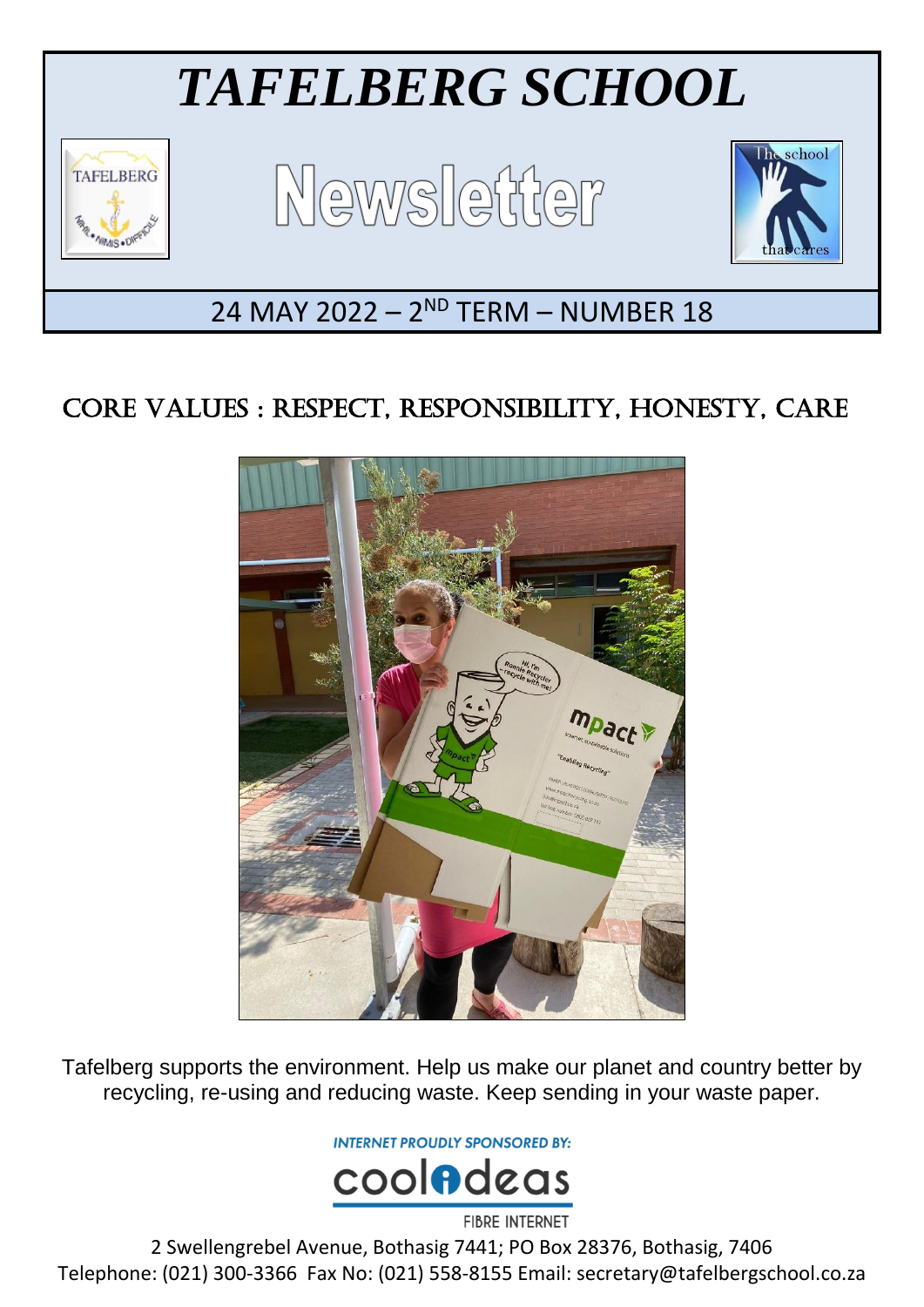

# CORE VALUES : RESPECT, RESPONSIBILITY, HONESTY, CARE



Tafelberg supports the environment. Help us make our planet and country better by recycling, re-using and reducing waste. Keep sending in your waste paper.

**INTERNET PROUDLY SPONSORED BY:** 



2 Swellengrebel Avenue, Bothasig 7441; PO Box 28376, Bothasig, 7406 Telephone: (021) 300-3366 Fax No: (021) 558-8155 Email: secretary@tafelbergschool.co.za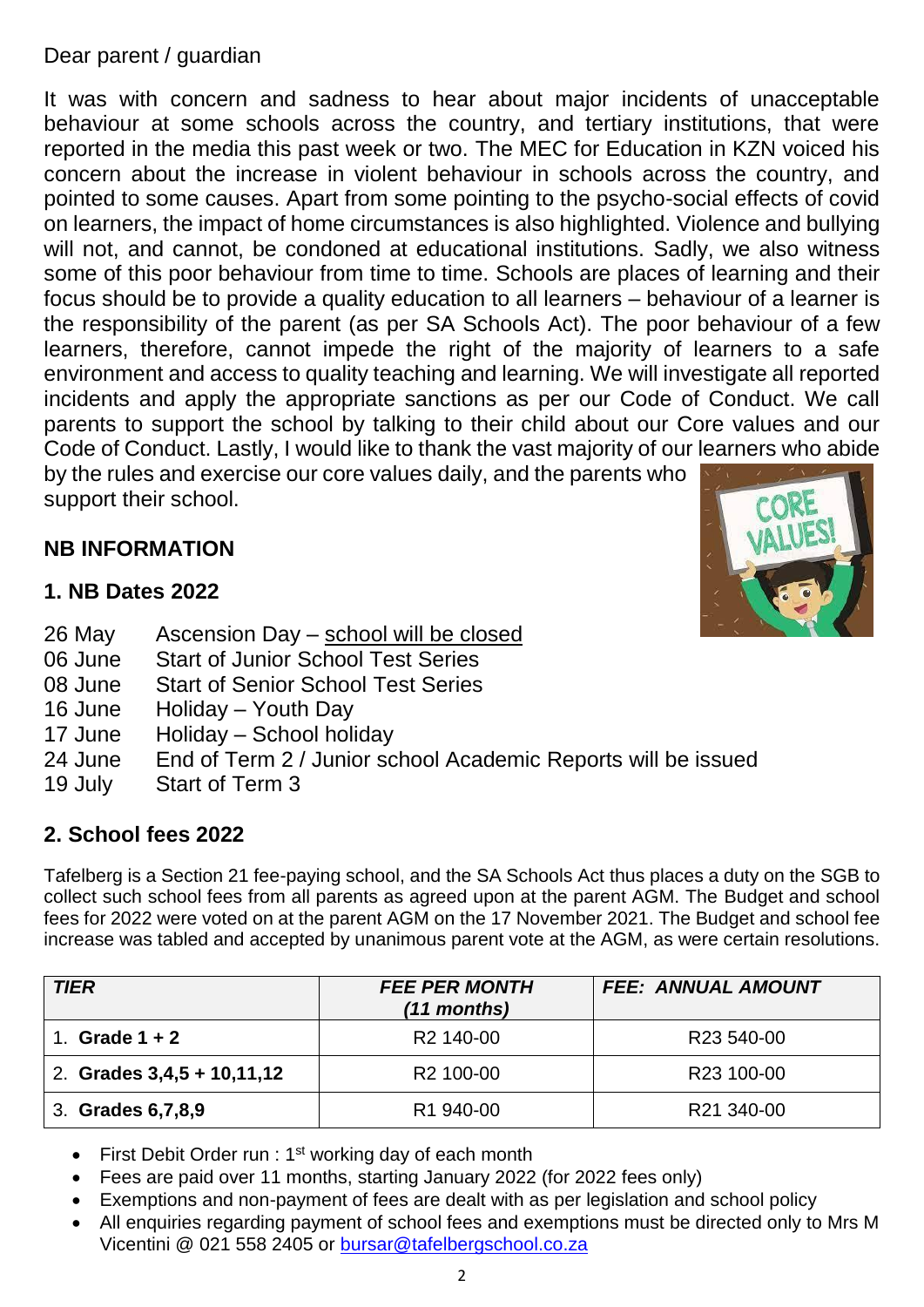#### Dear parent / guardian

It was with concern and sadness to hear about major incidents of unacceptable behaviour at some schools across the country, and tertiary institutions, that were reported in the media this past week or two. The MEC for Education in KZN voiced his concern about the increase in violent behaviour in schools across the country, and pointed to some causes. Apart from some pointing to the psycho-social effects of covid on learners, the impact of home circumstances is also highlighted. Violence and bullying will not, and cannot, be condoned at educational institutions. Sadly, we also witness some of this poor behaviour from time to time. Schools are places of learning and their focus should be to provide a quality education to all learners – behaviour of a learner is the responsibility of the parent (as per SA Schools Act). The poor behaviour of a few learners, therefore, cannot impede the right of the majority of learners to a safe environment and access to quality teaching and learning. We will investigate all reported incidents and apply the appropriate sanctions as per our Code of Conduct. We call parents to support the school by talking to their child about our Core values and our Code of Conduct. Lastly, I would like to thank the vast majority of our learners who abide by the rules and exercise our core values daily, and the parents who support their school.

## **NB INFORMATION**

#### **1. NB Dates 2022**

- 26 May Ascension Day school will be closed
- 06 June Start of Junior School Test Series
- 08 June Start of Senior School Test Series
- 16 June Holiday Youth Day
- 17 June Holiday School holiday
- 24 June End of Term 2 / Junior school Academic Reports will be issued
- 19 July Start of Term 3

#### **2. School fees 2022**

Tafelberg is a Section 21 fee-paying school, and the SA Schools Act thus places a duty on the SGB to collect such school fees from all parents as agreed upon at the parent AGM. The Budget and school fees for 2022 were voted on at the parent AGM on the 17 November 2021. The Budget and school fee increase was tabled and accepted by unanimous parent vote at the AGM, as were certain resolutions.

| <b>TIER</b>                  | <b>FEE PER MONTH</b><br>(11 months) | <b>FEE: ANNUAL AMOUNT</b> |
|------------------------------|-------------------------------------|---------------------------|
| Grade $1 + 2$                | R <sub>2</sub> 140-00               | R23 540-00                |
| 2. Grades $3,4,5 + 10,11,12$ | R <sub>2</sub> 100-00               | R <sub>23</sub> 100-00    |
| 3. Grades 6, 7, 8, 9         | R <sub>1</sub> 940-00               | R21 340-00                |

- First Debit Order run :  $1<sup>st</sup>$  working day of each month
- Fees are paid over 11 months, starting January 2022 (for 2022 fees only)
- Exemptions and non-payment of fees are dealt with as per legislation and school policy
- All enquiries regarding payment of school fees and exemptions must be directed only to Mrs M Vicentini @ 021 558 2405 or [bursar@tafelbergschool.co.za](mailto:bursar@tafelbergschool.co.za)

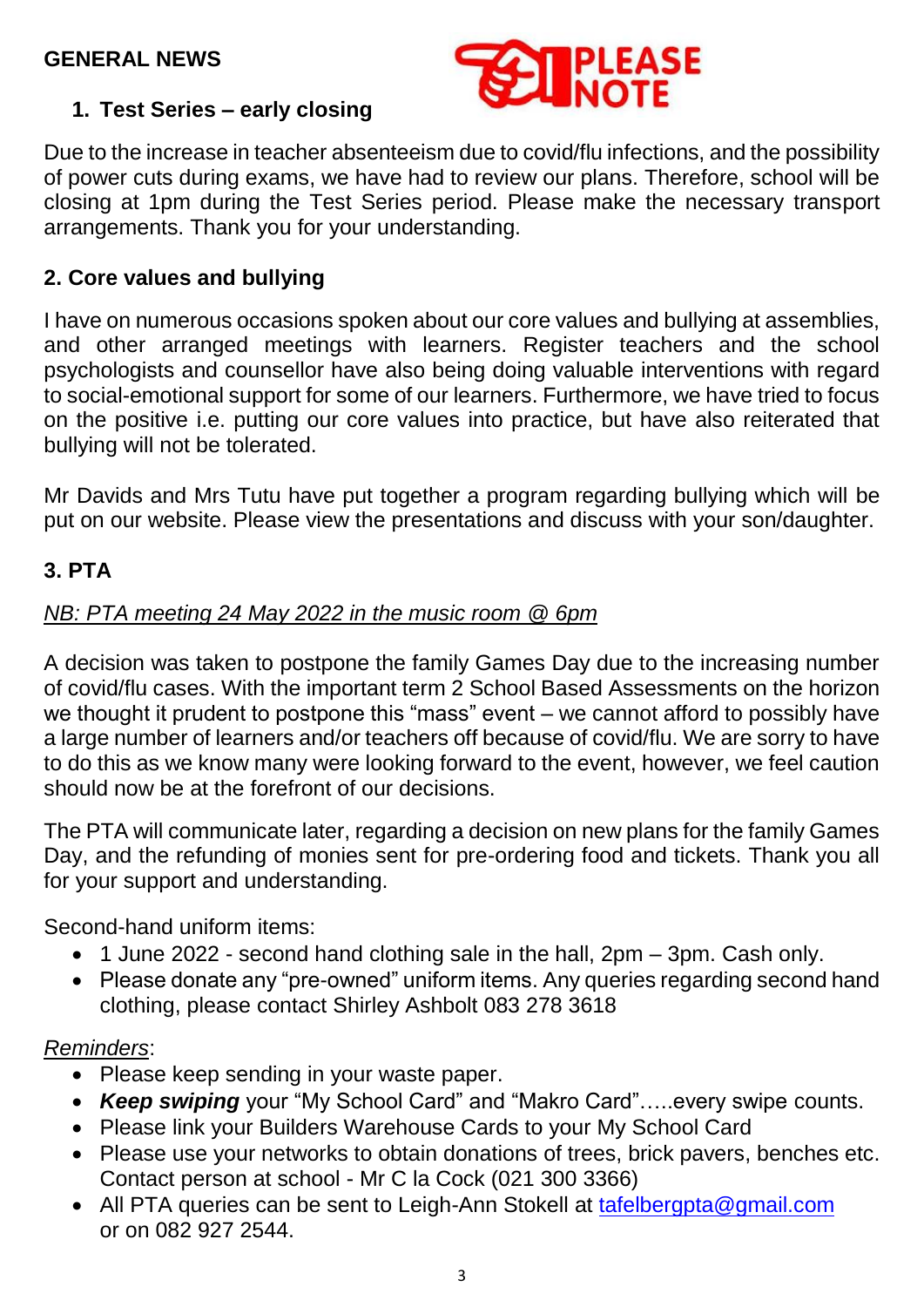

## **1. Test Series – early closing**

Due to the increase in teacher absenteeism due to covid/flu infections, and the possibility of power cuts during exams, we have had to review our plans. Therefore, school will be closing at 1pm during the Test Series period. Please make the necessary transport arrangements. Thank you for your understanding.

#### **2. Core values and bullying**

I have on numerous occasions spoken about our core values and bullying at assemblies, and other arranged meetings with learners. Register teachers and the school psychologists and counsellor have also being doing valuable interventions with regard to social-emotional support for some of our learners. Furthermore, we have tried to focus on the positive i.e. putting our core values into practice, but have also reiterated that bullying will not be tolerated.

Mr Davids and Mrs Tutu have put together a program regarding bullying which will be put on our website. Please view the presentations and discuss with your son/daughter.

#### **3. PTA**

## *NB: PTA meeting 24 May 2022 in the music room @ 6pm*

A decision was taken to postpone the family Games Day due to the increasing number of covid/flu cases. With the important term 2 School Based Assessments on the horizon we thought it prudent to postpone this "mass" event – we cannot afford to possibly have a large number of learners and/or teachers off because of covid/flu. We are sorry to have to do this as we know many were looking forward to the event, however, we feel caution should now be at the forefront of our decisions.

The PTA will communicate later, regarding a decision on new plans for the family Games Day, and the refunding of monies sent for pre-ordering food and tickets. Thank you all for your support and understanding.

Second-hand uniform items:

- 1 June 2022 second hand clothing sale in the hall, 2pm 3pm. Cash only.
- Please donate any "pre-owned" uniform items. Any queries regarding second hand clothing, please contact Shirley Ashbolt 083 278 3618

#### *Reminders*:

- Please keep sending in your waste paper.
- *Keep swiping* your "My School Card" and "Makro Card"…..every swipe counts.
- Please link your Builders Warehouse Cards to your My School Card
- Please use your networks to obtain donations of trees, brick pavers, benches etc. Contact person at school - Mr C la Cock (021 300 3366)
- All PTA queries can be sent to Leigh-Ann Stokell at [tafelbergpta@gmail.com](mailto:tafelbergpta@gmail.com) or on 082 927 2544.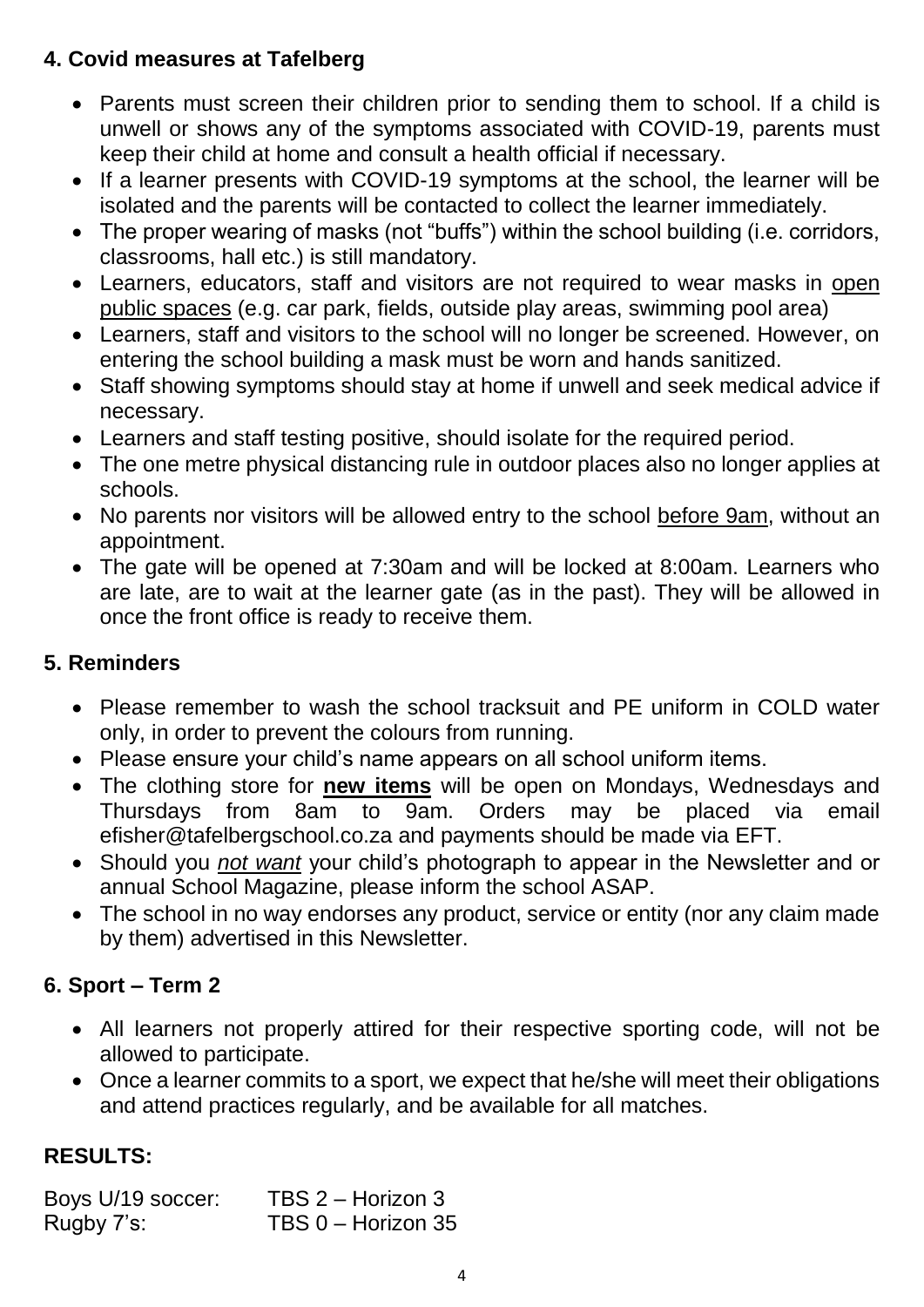## **4. Covid measures at Tafelberg**

- Parents must screen their children prior to sending them to school. If a child is unwell or shows any of the symptoms associated with COVID-19, parents must keep their child at home and consult a health official if necessary.
- If a learner presents with COVID-19 symptoms at the school, the learner will be isolated and the parents will be contacted to collect the learner immediately.
- The proper wearing of masks (not "buffs") within the school building (i.e. corridors, classrooms, hall etc.) is still mandatory.
- Learners, educators, staff and visitors are not required to wear masks in open public spaces (e.g. car park, fields, outside play areas, swimming pool area)
- Learners, staff and visitors to the school will no longer be screened. However, on entering the school building a mask must be worn and hands sanitized.
- Staff showing symptoms should stay at home if unwell and seek medical advice if necessary.
- Learners and staff testing positive, should isolate for the required period.
- The one metre physical distancing rule in outdoor places also no longer applies at schools.
- No parents nor visitors will be allowed entry to the school before 9am, without an appointment.
- The gate will be opened at 7:30am and will be locked at 8:00am. Learners who are late, are to wait at the learner gate (as in the past). They will be allowed in once the front office is ready to receive them.

## **5. Reminders**

- Please remember to wash the school tracksuit and PE uniform in COLD water only, in order to prevent the colours from running.
- Please ensure your child's name appears on all school uniform items.
- The clothing store for **new items** will be open on Mondays, Wednesdays and Thursdays from 8am to 9am. Orders may be placed via email efisher@tafelbergschool.co.za and payments should be made via EFT.
- Should you *not want* your child's photograph to appear in the Newsletter and or annual School Magazine, please inform the school ASAP.
- The school in no way endorses any product, service or entity (nor any claim made by them) advertised in this Newsletter.

## **6. Sport – Term 2**

- All learners not properly attired for their respective sporting code, will not be allowed to participate.
- Once a learner commits to a sport, we expect that he/she will meet their obligations and attend practices regularly, and be available for all matches.

## **RESULTS:**

| Boys U/19 soccer: | TBS 2 - Horizon 3  |
|-------------------|--------------------|
| Rugby 7's:        | TBS 0 - Horizon 35 |